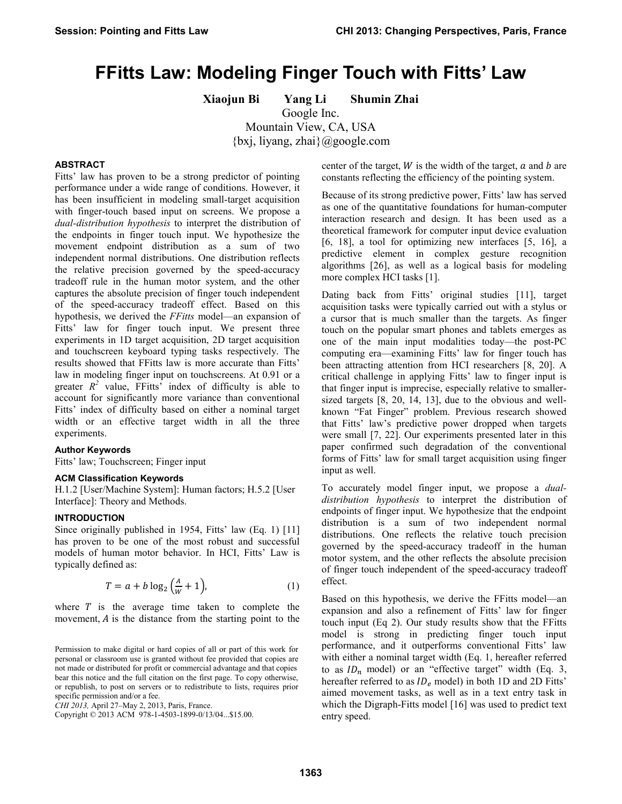# **FFitts Law: Modeling Finger Touch with Fitts' Law**

**Xiaojun Bi Yang Li Shumin Zhai**

Google Inc. Mountain View, CA, USA

{bxj, liyang, zhai}@google.com

# **ABSTRACT**

Fitts' law has proven to be a strong predictor of pointing performance under a wide range of conditions. However, it has been insufficient in modeling small-target acquisition with finger-touch based input on screens. We propose a *dual-distribution hypothesis* to interpret the distribution of the endpoints in finger touch input. We hypothesize the movement endpoint distribution as a sum of two independent normal distributions. One distribution reflects the relative precision governed by the speed-accuracy tradeoff rule in the human motor system, and the other captures the absolute precision of finger touch independent of the speed-accuracy tradeoff effect. Based on this hypothesis, we derived the *FFitts* model—an expansion of Fitts' law for finger touch input. We present three experiments in 1D target acquisition, 2D target acquisition and touchscreen keyboard typing tasks respectively. The results showed that FFitts law is more accurate than Fitts' law in modeling finger input on touchscreens. At 0.91 or a greater  $R^2$  value, FFitts' index of difficulty is able to account for significantly more variance than conventional Fitts' index of difficulty based on either a nominal target width or an effective target width in all the three experiments.

### **Author Keywords**

Fitts' law; Touchscreen; Finger input

## **ACM Classification Keywords**

H.1.2 [User/Machine System]: Human factors; H.5.2 [User Interface]: Theory and Methods.

# **INTRODUCTION**

Since originally published in 1954, Fitts' law (Eq. 1) [\[11\]](#page-9-0) has proven to be one of the most robust and successful models of human motor behavior. In HCI, Fitts' Law is typically defined as:

$$
T = a + b \log_2 \left(\frac{A}{W} + 1\right),\tag{1}
$$

where  $T$  is the average time taken to complete the movement,  $A$  is the distance from the starting point to the

*CHI 2013,* April 27–May 2, 2013, Paris, France.

center of the target,  $W$  is the width of the target,  $\alpha$  and  $\beta$  are constants reflecting the efficiency of the pointing system.

Because of its strong predictive power, Fitts' law has served as one of the quantitative foundations for human-computer interaction research and design. It has been used as a theoretical framework for computer input device evaluation [\[6,](#page-9-1) [18\]](#page-9-2), a tool for optimizing new interfaces [\[5,](#page-9-3) [16\]](#page-9-4), a predictive element in complex gesture recognition algorithms [\[26\]](#page-9-5), as well as a logical basis for modeling more complex HCI tasks [\[1\]](#page-9-6).

Dating back from Fitts' original studies [11], target acquisition tasks were typically carried out with a stylus or a cursor that is much smaller than the targets. As finger touch on the popular smart phones and tablets emerges as one of the main input modalities today—the post-PC computing era—examining Fitts' law for finger touch has been attracting attention from HCI researchers [\[8,](#page-9-7) [20\]](#page-9-8). A critical challenge in applying Fitts' law to finger input is that finger input is imprecise, especially relative to smallersized targets [\[8,](#page-9-7) [20,](#page-9-8) [14,](#page-9-9) [13\]](#page-9-10), due to the obvious and wellknown "Fat Finger" problem. Previous research showed that Fitts' law's predictive power dropped when targets were small [\[7,](#page-9-11) [22\]](#page-9-12). Our experiments presented later in this paper confirmed such degradation of the conventional forms of Fitts' law for small target acquisition using finger input as well.

To accurately model finger input, we propose a *dualdistribution hypothesis* to interpret the distribution of endpoints of finger input. We hypothesize that the endpoint distribution is a sum of two independent normal distributions. One reflects the relative touch precision governed by the speed-accuracy tradeoff in the human motor system, and the other reflects the absolute precision of finger touch independent of the speed-accuracy tradeoff effect.

Based on this hypothesis, we derive the FFitts model—an expansion and also a refinement of Fitts' law for finger touch input (Eq 2). Our study results show that the FFitts model is strong in predicting finger touch input performance, and it outperforms conventional Fitts' law with either a nominal target width (Eq. 1, hereafter referred to as  $ID_n$  model) or an "effective target" width (Eq. 3, hereafter referred to as  $ID_e$  model) in both 1D and 2D Fitts' aimed movement tasks, as well as in a text entry task in which the Digraph-Fitts model [\[16\]](#page-9-4) was used to predict text entry speed.

Permission to make digital or hard copies of all or part of this work for personal or classroom use is granted without fee provided that copies are not made or distributed for profit or commercial advantage and that copies bear this notice and the full citation on the first page. To copy otherwise, or republish, to post on servers or to redistribute to lists, requires prior specific permission and/or a fee.

Copyright © 2013 ACM 978-1-4503-1899-0/13/04...\$15.00.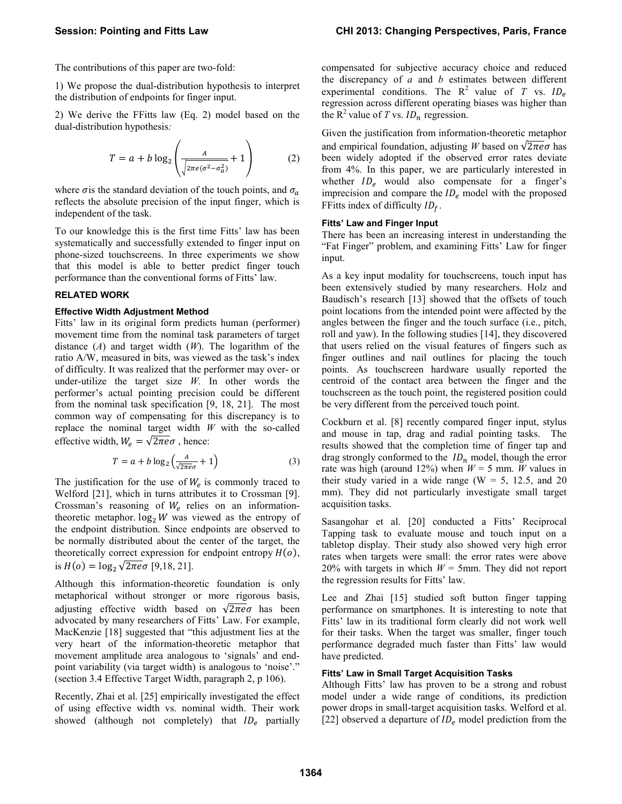The contributions of this paper are two-fold:

1) We propose the dual-distribution hypothesis to interpret the distribution of endpoints for finger input.

2) We derive the FFitts law (Eq. 2) model based on the dual-distribution hypothesis*:*

$$
T = a + b \log_2 \left( \frac{A}{\sqrt{2\pi e(\sigma^2 - \sigma_a^2)}} + 1 \right) \tag{2}
$$

where  $\sigma$  is the standard deviation of the touch points, and  $\sigma_a$ reflects the absolute precision of the input finger, which is independent of the task.

To our knowledge this is the first time Fitts' law has been systematically and successfully extended to finger input on phone-sized touchscreens. In three experiments we show that this model is able to better predict finger touch performance than the conventional forms of Fitts' law.

# **RELATED WORK**

### **Effective Width Adjustment Method**

Fitts' law in its original form predicts human (performer) movement time from the nominal task parameters of target distance (*A*) and target width (*W*). The logarithm of the ratio A/W, measured in bits, was viewed as the task's index of difficulty. It was realized that the performer may over- or under-utilize the target size *W*. In other words the performer's actual pointing precision could be different from the nominal task specification [\[9,](#page-9-13) [18,](#page-9-2) [21\]](#page-9-14). The most common way of compensating for this discrepancy is to replace the nominal target width *W* with the so-called effective width,  $W_e = \sqrt{2\pi e \sigma}$ , hence:

$$
T = a + b \log_2 \left( \frac{A}{\sqrt{2\pi e} \sigma} + 1 \right) \tag{3}
$$

The justification for the use of  $W_e$  is commonly traced to Welford [\[21\]](#page-9-14), which in turns attributes it to Crossman [\[9\]](#page-9-13). Crossman's reasoning of  $W_e$  relies on an informationtheoretic metaphor.  $\log_2 W$  was viewed as the entropy of the endpoint distribution. Since endpoints are observed to be normally distributed about the center of the target, the theoretically correct expression for endpoint entropy  $H(o)$ , is  $H(o) = \log_2 \sqrt{2 \pi e} \sigma$  [\[9](#page-9-13)[,18,](#page-9-2) [21\]](#page-9-14).

Although this information-theoretic foundation is only metaphorical without stronger or more rigorous basis, adjusting effective width based on  $\sqrt{2\pi e}\sigma$  has been advocated by many researchers of Fitts' Law. For example, MacKenzie [\[18\]](#page-9-2) suggested that "this adjustment lies at the very heart of the information-theoretic metaphor that movement amplitude area analogous to 'signals' and endpoint variability (via target width) is analogous to 'noise'." (section 3.4 Effective Target Width, paragraph 2, p 106).

Recently, Zhai et al. [\[25\]](#page-9-15) empirically investigated the effect of using effective width vs. nominal width. Their work showed (although not completely) that  $ID_e$  partially compensated for subjective accuracy choice and reduced the discrepancy of *a* and *b* estimates between different experimental conditions. The  $R^2$  value of *T* vs.  $ID_e$ regression across different operating biases was higher than the  $R^2$  value of *T* vs.  $ID_n$  regression.

Given the justification from information-theoretic metaphor and empirical foundation, adjusting *W* based on  $\sqrt{2\pi e}\sigma$  has been widely adopted if the observed error rates deviate from 4%. In this paper, we are particularly interested in whether  $ID_e$  would also compensate for a finger's imprecision and compare the  $ID_e$  model with the proposed FFitts index of difficulty  $ID<sub>f</sub>$ .

### **Fitts' Law and Finger Input**

There has been an increasing interest in understanding the "Fat Finger" problem, and examining Fitts' Law for finger input.

As a key input modality for touchscreens, touch input has been extensively studied by many researchers. Holz and Baudisch's research [\[13\]](#page-9-10) showed that the offsets of touch point locations from the intended point were affected by the angles between the finger and the touch surface (i.e., pitch, roll and yaw). In the following studies [\[14\]](#page-9-9), they discovered that users relied on the visual features of fingers such as finger outlines and nail outlines for placing the touch points. As touchscreen hardware usually reported the centroid of the contact area between the finger and the touchscreen as the touch point, the registered position could be very different from the perceived touch point.

Cockburn et al. [\[8\]](#page-9-7) recently compared finger input, stylus and mouse in tap, drag and radial pointing tasks. The results showed that the completion time of finger tap and drag strongly conformed to the  $ID_n$  model, though the error rate was high (around 12%) when  $W = 5$  mm. *W* values in their study varied in a wide range ( $W = 5$ , 12.5, and 20 mm). They did not particularly investigate small target acquisition tasks.

Sasangohar et al. [\[20\]](#page-9-8) conducted a Fitts' Reciprocal Tapping task to evaluate mouse and touch input on a tabletop display. Their study also showed very high error rates when targets were small: the error rates were above 20% with targets in which *W* = 5mm. They did not report the regression results for Fitts' law.

Lee and Zhai [\[15\]](#page-9-16) studied soft button finger tapping performance on smartphones. It is interesting to note that Fitts' law in its traditional form clearly did not work well for their tasks. When the target was smaller, finger touch performance degraded much faster than Fitts' law would have predicted.

# **Fitts' Law in Small Target Acquisition Tasks**

Although Fitts' law has proven to be a strong and robust model under a wide range of conditions, its prediction power drops in small-target acquisition tasks. Welford et al. [\[22\]](#page-9-12) observed a departure of  $ID_e$  model prediction from the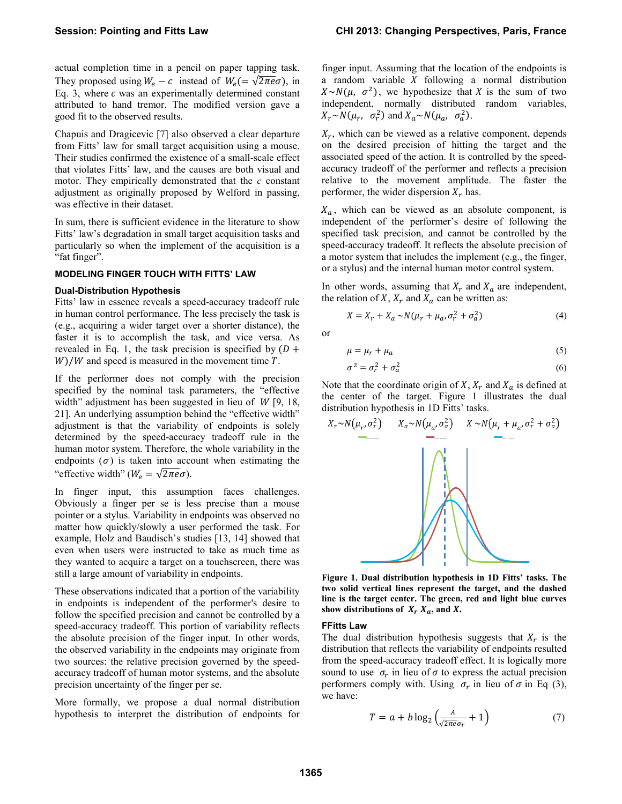actual completion time in a pencil on paper tapping task. They proposed using  $W_e - c$  instead of  $W_e = \sqrt{2\pi e \sigma}$ , in Eq. 3, where  $c$  was an experimentally determined constant attributed to hand tremor. The modified version gave a good fit to the observed results.

Chapuis and Dragicevic [\[7\]](#page-9-11) also observed a clear departure from Fitts' law for small target acquisition using a mouse. Their studies confirmed the existence of a small-scale effect that violates Fitts' law, and the causes are both visual and motor. They empirically demonstrated that the *c* constant adjustment as originally proposed by Welford in passing, was effective in their dataset.

In sum, there is sufficient evidence in the literature to show Fitts' law's degradation in small target acquisition tasks and particularly so when the implement of the acquisition is a "fat finger".

# **MODELING FINGER TOUCH WITH FITTS' LAW**

#### **Dual-Distribution Hypothesis**

Fitts' law in essence reveals a speed-accuracy tradeoff rule in human control performance. The less precisely the task is (e.g., acquiring a wider target over a shorter distance), the faster it is to accomplish the task, and vice versa. As revealed in Eq. 1, the task precision is specified by  $(D +$  $W$ )/W and speed is measured in the movement time  $T$ .

If the performer does not comply with the precision specified by the nominal task parameters, the "effective width" adjustment has been suggested in lieu of  $W$  [\[9,](#page-9-13) [18,](#page-9-2) [21\]](#page-9-14). An underlying assumption behind the "effective width" adjustment is that the variability of endpoints is solely determined by the speed-accuracy tradeoff rule in the human motor system. Therefore, the whole variability in the endpoints  $(\sigma)$  is taken into account when estimating the "effective width" ( $W_e = \sqrt{2\pi e \sigma}$ ).

In finger input, this assumption faces challenges. Obviously a finger per se is less precise than a mouse pointer or a stylus. Variability in endpoints was observed no matter how quickly/slowly a user performed the task. For example, Holz and Baudisch's studies [\[13,](#page-9-10) [14\]](#page-9-9) showed that even when users were instructed to take as much time as they wanted to acquire a target on a touchscreen, there was still a large amount of variability in endpoints.

These observations indicated that a portion of the variability in endpoints is independent of the performer's desire to follow the specified precision and cannot be controlled by a speed-accuracy tradeoff. This portion of variability reflects the absolute precision of the finger input. In other words, the observed variability in the endpoints may originate from two sources: the relative precision governed by the speedaccuracy tradeoff of human motor systems, and the absolute precision uncertainty of the finger per se.

More formally, we propose a dual normal distribution hypothesis to interpret the distribution of endpoints for finger input. Assuming that the location of the endpoints is a random variable  $X$  following a normal distribution  $X \sim N(\mu, \sigma^2)$ , we hypothesize that X is the sum of two independent, normally distributed random variables,  $X_r \sim N(\mu_r, \sigma_r^2)$  and  $X_a \sim N(\mu_a, \sigma_a^2)$ .

 $X_r$ , which can be viewed as a relative component, depends on the desired precision of hitting the target and the associated speed of the action. It is controlled by the speedaccuracy tradeoff of the performer and reflects a precision relative to the movement amplitude. The faster the performer, the wider dispersion  $X_r$  has.

 $X_a$ , which can be viewed as an absolute component, is independent of the performer's desire of following the specified task precision, and cannot be controlled by the speed-accuracy tradeoff. It reflects the absolute precision of a motor system that includes the implement (e.g., the finger, or a stylus) and the internal human motor control system.

In other words, assuming that  $X_r$  and  $X_a$  are independent, the relation of X,  $X_r$  and  $X_a$  can be written as:

$$
X = X_r + X_a \sim N(\mu_r + \mu_a, \sigma_r^2 + \sigma_a^2)
$$
 (4)

or

$$
\mu = \mu_r + \mu_a \tag{5}
$$

$$
\sigma^2 = \sigma_r^2 + \sigma_a^2 \tag{6}
$$

Note that the coordinate origin of  $X$ ,  $X_r$  and  $X_a$  is defined at the center of the target. [Figure 1](#page-2-0) illustrates the dual distribution hypothesis in 1D Fitts' tasks.



<span id="page-2-0"></span>**Figure 1. Dual distribution hypothesis in 1D Fitts' tasks. The two solid vertical lines represent the target, and the dashed line is the target center. The green, red and light blue curves**  show distributions of  $X_r X_a$ , and X.

### **FFitts Law**

The dual distribution hypothesis suggests that  $X<sub>r</sub>$  is the distribution that reflects the variability of endpoints resulted from the speed-accuracy tradeoff effect. It is logically more sound to use  $\sigma_r$  in lieu of  $\sigma$  to express the actual precision performers comply with. Using  $\sigma_r$  in lieu of  $\sigma$  in Eq (3), we have:

$$
T = a + b \log_2 \left( \frac{A}{\sqrt{2\pi e} \sigma_r} + 1 \right) \tag{7}
$$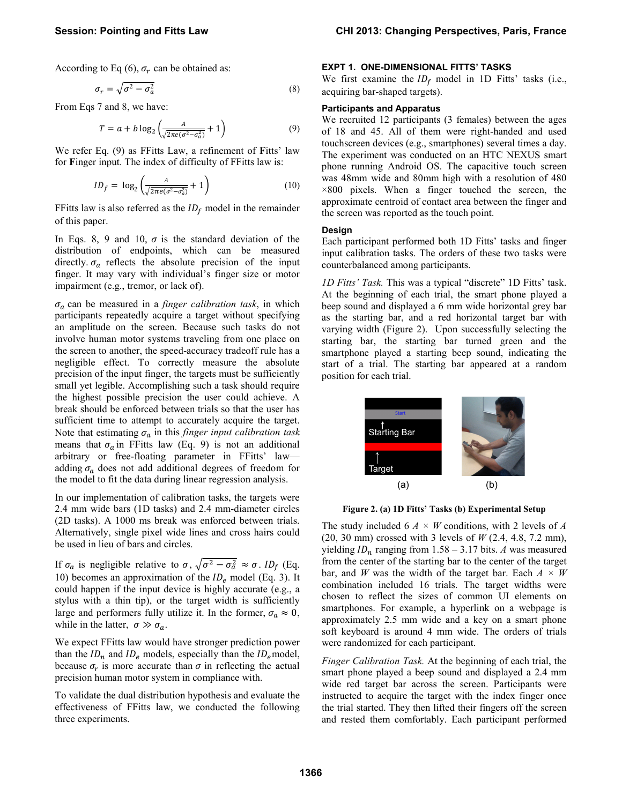According to Eq  $(6)$ ,  $\sigma_r$  can be obtained as:

$$
\sigma_r = \sqrt{\sigma^2 - \sigma_a^2} \tag{8}
$$

From Eqs 7 and 8, we have:

$$
T = a + b \log_2 \left( \frac{A}{\sqrt{2\pi e(\sigma^2 - \sigma_a^2)}} + 1 \right) \tag{9}
$$

We refer Eq. (9) as FFitts Law, a refinement of **F**itts' law for **F**inger input. The index of difficulty of FFitts law is:

$$
ID_f = \log_2\left(\frac{A}{\sqrt{2\pi e(\sigma^2 - \sigma_a^2)}} + 1\right) \tag{10}
$$

FFitts law is also referred as the  $ID_f$  model in the remainder of this paper.

In Eqs. 8, 9 and 10,  $\sigma$  is the standard deviation of the distribution of endpoints, which can be measured directly.  $\sigma_a$  reflects the absolute precision of the input finger. It may vary with individual's finger size or motor impairment (e.g., tremor, or lack of).

 $\sigma_a$  can be measured in a *finger calibration task*, in which participants repeatedly acquire a target without specifying an amplitude on the screen. Because such tasks do not involve human motor systems traveling from one place on the screen to another, the speed-accuracy tradeoff rule has a negligible effect. To correctly measure the absolute precision of the input finger, the targets must be sufficiently small yet legible. Accomplishing such a task should require the highest possible precision the user could achieve. A break should be enforced between trials so that the user has sufficient time to attempt to accurately acquire the target. Note that estimating  $\sigma_a$  in this *finger input calibration task* means that  $\sigma_a$  in FFitts law (Eq. 9) is not an additional arbitrary or free-floating parameter in FFitts' law adding  $\sigma_a$  does not add additional degrees of freedom for the model to fit the data during linear regression analysis.

In our implementation of calibration tasks, the targets were 2.4 mm wide bars (1D tasks) and 2.4 mm-diameter circles (2D tasks). A 1000 ms break was enforced between trials. Alternatively, single pixel wide lines and cross hairs could be used in lieu of bars and circles.

If  $\sigma_a$  is negligible relative to  $\sigma$ ,  $\sqrt{\sigma^2 - \sigma_a^2} \approx \sigma$ . *ID<sub>f</sub>* (Eq. 10) becomes an approximation of the  $ID_e$  model (Eq. 3). It could happen if the input device is highly accurate (e.g., a stylus with a thin tip), or the target width is sufficiently large and performers fully utilize it. In the former,  $\sigma_a \approx 0$ , while in the latter,  $\sigma \gg \sigma_a$ .

We expect FFitts law would have stronger prediction power than the  $ID_n$  and  $ID_e$  models, especially than the  $ID_e$  model, because  $\sigma_r$  is more accurate than  $\sigma$  in reflecting the actual precision human motor system in compliance with.

To validate the dual distribution hypothesis and evaluate the effectiveness of FFitts law, we conducted the following three experiments.

# **EXPT 1. ONE-DIMENSIONAL FITTS' TASKS**

We first examine the  $ID_f$  model in 1D Fitts' tasks (i.e., acquiring bar-shaped targets).

#### **Participants and Apparatus**

We recruited 12 participants (3 females) between the ages of 18 and 45. All of them were right-handed and used touchscreen devices (e.g., smartphones) several times a day. The experiment was conducted on an HTC NEXUS smart phone running Android OS. The capacitive touch screen was 48mm wide and 80mm high with a resolution of 480  $\times 800$  pixels. When a finger touched the screen, the approximate centroid of contact area between the finger and the screen was reported as the touch point.

#### **Design**

Each participant performed both 1D Fitts' tasks and finger input calibration tasks. The orders of these two tasks were counterbalanced among participants.

*1D Fitts' Task.* This was a typical "discrete" 1D Fitts' task. At the beginning of each trial, the smart phone played a beep sound and displayed a 6 mm wide horizontal grey bar as the starting bar, and a red horizontal target bar with varying width [\(Figure 2\)](#page-3-0). Upon successfully selecting the starting bar, the starting bar turned green and the smartphone played a starting beep sound, indicating the start of a trial. The starting bar appeared at a random position for each trial.



**Figure 2. (a) 1D Fitts' Tasks (b) Experimental Setup**

<span id="page-3-0"></span>The study included 6 *A × W* conditions, with 2 levels of *A*  (20, 30 mm) crossed with 3 levels of *W* (2.4, 4.8, 7.2 mm), yielding  $ID_n$  ranging from  $1.58 - 3.17$  bits. *A* was measured from the center of the starting bar to the center of the target bar, and *W* was the width of the target bar. Each *A × W* combination included 16 trials. The target widths were chosen to reflect the sizes of common UI elements on smartphones. For example, a hyperlink on a webpage is approximately 2.5 mm wide and a key on a smart phone soft keyboard is around 4 mm wide. The orders of trials were randomized for each participant.

*Finger Calibration Task.* At the beginning of each trial, the smart phone played a beep sound and displayed a 2.4 mm wide red target bar across the screen. Participants were instructed to acquire the target with the index finger once the trial started. They then lifted their fingers off the screen and rested them comfortably. Each participant performed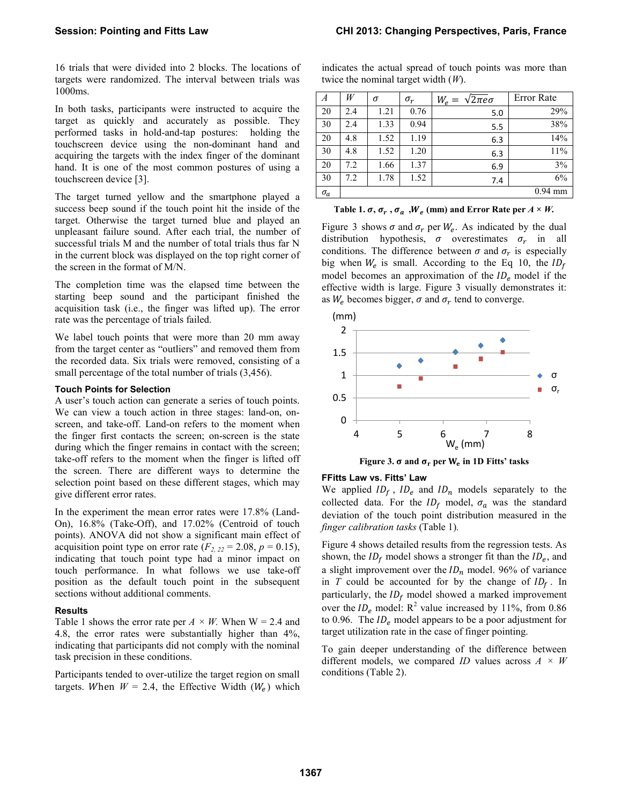16 trials that were divided into 2 blocks. The locations of targets were randomized. The interval between trials was 1000ms.

In both tasks, participants were instructed to acquire the target as quickly and accurately as possible. They performed tasks in hold-and-tap postures: holding the touchscreen device using the non-dominant hand and acquiring the targets with the index finger of the dominant hand. It is one of the most common postures of using a touchscreen device [\[3\]](#page-9-17).

The target turned yellow and the smartphone played a success beep sound if the touch point hit the inside of the target. Otherwise the target turned blue and played an unpleasant failure sound. After each trial, the number of successful trials M and the number of total trials thus far N in the current block was displayed on the top right corner of the screen in the format of M/N.

The completion time was the elapsed time between the starting beep sound and the participant finished the acquisition task (i.e., the finger was lifted up). The error rate was the percentage of trials failed.

We label touch points that were more than 20 mm away from the target center as "outliers" and removed them from the recorded data. Six trials were removed, consisting of a small percentage of the total number of trials (3,456).

### **Touch Points for Selection**

A user's touch action can generate a series of touch points. We can view a touch action in three stages: land-on, onscreen, and take-off. Land-on refers to the moment when the finger first contacts the screen; on-screen is the state during which the finger remains in contact with the screen; take-off refers to the moment when the finger is lifted off the screen. There are different ways to determine the selection point based on these different stages, which may give different error rates.

In the experiment the mean error rates were 17.8% (Land-On), 16.8% (Take-Off), and 17.02% (Centroid of touch points). ANOVA did not show a significant main effect of acquisition point type on error rate  $(F_{2, 22} = 2.08, p = 0.15)$ , indicating that touch point type had a minor impact on touch performance. In what follows we use take-off position as the default touch point in the subsequent sections without additional comments.

#### **Results**

[Table 1](#page-4-0) shows the error rate per  $A \times W$ . When  $W = 2.4$  and 4.8, the error rates were substantially higher than 4%, indicating that participants did not comply with the nominal task precision in these conditions.

Participants tended to over-utilize the target region on small targets. When  $W = 2.4$ , the Effective Width ( $W_e$ ) which indicates the actual spread of touch points was more than twice the nominal target width (*W*).

| А          | W   | σ    | $\sigma_r$ | $\sqrt{2\pi e}\sigma$<br>$W_e =$ | Error Rate |
|------------|-----|------|------------|----------------------------------|------------|
| 20         | 2.4 | 1.21 | 0.76       | 5.0                              | 29%        |
| 30         | 2.4 | 1.33 | 0.94       | 5.5                              | 38%        |
| 20         | 4.8 | 1.52 | 1.19       | 6.3                              | 14%        |
| 30         | 4.8 | 1.52 | 1.20       | 6.3                              | 11%        |
| 20         | 7.2 | 1.66 | 1.37       | 6.9                              | 3%         |
| 30         | 7.2 | 1.78 | 1.52       | 7.4                              | 6%         |
| $\sigma_a$ |     |      |            |                                  | $0.94$ mm  |

<span id="page-4-0"></span>

| Table 1. $\sigma$ , $\sigma_r$ , $\sigma_a$ , $W_e$ (mm) and Error Rate per $A \times W$ . |  |  |  |
|--------------------------------------------------------------------------------------------|--|--|--|
|--------------------------------------------------------------------------------------------|--|--|--|

[Figure 3](#page-4-1) shows  $\sigma$  and  $\sigma_r$  per  $W_e$ . As indicated by the dual distribution hypothesis,  $\sigma$  overestimates  $\sigma_r$  in all conditions. The difference between  $\sigma$  and  $\sigma_r$  is especially big when  $W_e$  is small. According to the Eq 10, the  $ID_f$ model becomes an approximation of the  $ID_e$  model if the effective width is large. [Figure 3](#page-4-1) visually demonstrates it: as  $W_e$  becomes bigger,  $\sigma$  and  $\sigma_r$  tend to converge.





### <span id="page-4-1"></span>**FFitts Law vs. Fitts' Law**

We applied  $ID_f$ ,  $ID_e$  and  $ID_n$  models separately to the collected data. For the  $ID_f$  model,  $\sigma_a$  was the standard deviation of the touch point distribution measured in the *finger calibration tasks* [\(Table 1\)](#page-4-0)*.* 

[Figure 4](#page-5-0) shows detailed results from the regression tests. As shown, the  $ID_f$  model shows a stronger fit than the  $ID_e$ , and a slight improvement over the  $ID_n$  model. 96% of variance in *T* could be accounted for by the change of  $ID_f$ . In particularly, the  $ID_f$  model showed a marked improvement over the  $ID_e$  model:  $R^2$  value increased by 11%, from 0.86 to 0.96. The  $ID_e$  model appears to be a poor adjustment for target utilization rate in the case of finger pointing.

To gain deeper understanding of the difference between different models, we compared *ID* values across *A × W* conditions (Table 2).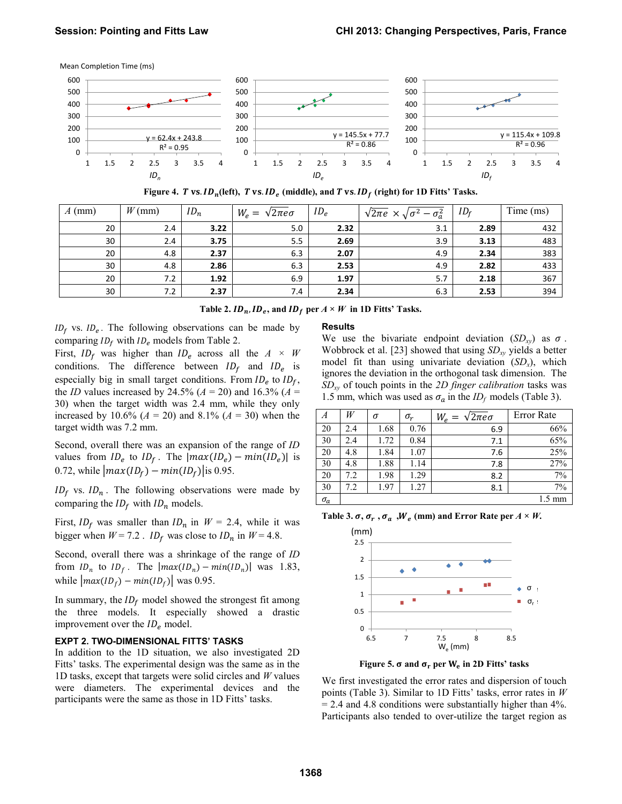Mean Completion Time (ms)



Figure 4. *T* vs.  $ID_n$ (left), *T* vs.  $ID_e$  (middle), and *T* vs.  $ID_f$  (right) for 1D Fitts' Tasks.

<span id="page-5-0"></span>

| $A$ (mm) | $W$ (mm) | $ID_n$ | $W_e = \sqrt{2\pi e \sigma}$ | $ID_e$ | $\sqrt{2\pi}e \times \sqrt{\sigma^2}$<br>$-\sigma_a^2$ | ID <sub>f</sub> | Time (ms) |
|----------|----------|--------|------------------------------|--------|--------------------------------------------------------|-----------------|-----------|
| 20       | 2.4      | 3.22   | 5.0                          | 2.32   | 3.1                                                    | 2.89            | 432       |
| 30       | 2.4      | 3.75   | 5.5                          | 2.69   | 3.9                                                    | 3.13            | 483       |
| 20       | 4.8      | 2.37   | 6.3                          | 2.07   | 4.9                                                    | 2.34            | 383       |
| 30       | 4.8      | 2.86   | 6.3                          | 2.53   | 4.9                                                    | 2.82            | 433       |
| 20       | 7.2      | 1.92   | 6.9                          | 1.97   | 5.7                                                    | 2.18            | 367       |
| 30       | 7.2      | 2.37   | 7.4                          | 2.34   | 6.3                                                    | 2.53            | 394       |

Table 2.  $ID_n$ ,  $ID_e$ , and  $ID_f$  per  $A \times W$  in 1D Fitts' Tasks.

 $ID_f$  vs.  $ID_e$ . The following observations can be made by comparing  $ID_f$  with  $ID_e$  models from Table 2.

First,  $ID_f$  was higher than  $ID_e$  across all the  $A \times W$ conditions. The difference between  $ID_f$  and  $ID_e$  is especially big in small target conditions. From  $ID_e$  to  $ID_f$ , the *ID* values increased by 24.5% ( $A = 20$ ) and 16.3% ( $A =$ 30) when the target width was 2.4 mm, while they only increased by 10.6% ( $A = 20$ ) and 8.1% ( $A = 30$ ) when the target width was 7.2 mm.

Second, overall there was an expansion of the range of *ID* values from  $ID_e$  to  $ID_f$ . The  $|max(ID_e) - min(ID_e)|$  is 0.72, while  $\left| max(I D_f) - min(I D_f) \right|$  is 0.95.

 $ID_f$  vs.  $ID_n$ . The following observations were made by comparing the  $ID<sub>f</sub>$  with  $ID<sub>n</sub>$  models.

First,  $ID_f$  was smaller than  $ID_n$  in  $W = 2.4$ , while it was bigger when  $W = 7.2$ . *ID<sub>f</sub>* was close to  $ID_n$  in  $W = 4.8$ .

Second, overall there was a shrinkage of the range of *ID* from  $ID_n$  to  $ID_f$ . The  $|max(ID_n) - min(ID_n)|$  was 1.83, while  $\left| \max(1D_f) - \min(1D_f) \right|$  was 0.95.

In summary, the  $ID_f$  model showed the strongest fit among the three models. It especially showed a drastic improvement over the  $ID_e$  model.

## **EXPT 2. TWO-DIMENSIONAL FITTS' TASKS**

In addition to the 1D situation, we also investigated 2D Fitts' tasks. The experimental design was the same as in the 1D tasks, except that targets were solid circles and *W* values were diameters. The experimental devices and the participants were the same as those in 1D Fitts' tasks.

### **Results**

We use the bivariate endpoint deviation  $(SD_{xy})$  as  $\sigma$ . Wobbrock et al. [\[23\]](#page-9-18) showed that using *SDxy* yields a better model fit than using univariate deviation (*SDx*), which ignores the deviation in the orthogonal task dimension. The *SDxy* of touch points in the *2D finger calibration* tasks was 1.5 mm, which was used as  $\sigma_a$  in the *ID<sub>f</sub>* models [\(Table 3\)](#page-5-1).

| А          | W   | σ    | $\sigma_r$ | $W_e = \sqrt{2\pi e}\sigma$ | Error Rate       |
|------------|-----|------|------------|-----------------------------|------------------|
| 20         | 2.4 | 1.68 | 0.76       | 6.9                         | 66%              |
| 30         | 2.4 | 1.72 | 0.84       | 7.1                         | 65%              |
| 20         | 4.8 | 1.84 | 1.07       | 7.6                         | 25%              |
| 30         | 4.8 | 1.88 | 1.14       | 7.8                         | 27%              |
| 20         | 7.2 | 1.98 | 1.29       | 8.2                         | 7%               |
| 30         | 7.2 | 1.97 | 1.27       | 8.1                         | 7%               |
| $\sigma_a$ |     |      |            |                             | $1.5 \text{ mm}$ |

<span id="page-5-1"></span>**Table 3.**  $\sigma$ **,**  $\sigma_r$ **,**  $\sigma_a$ **,**  $W_e$  **(mm) and Error Rate per**  $A \times W$ **.** 



**Figure 5.**  $\sigma$  **and**  $\sigma_r$  **per**  $W_e$  **in 2D Fitts' tasks** 

<span id="page-5-2"></span>We first investigated the error rates and dispersion of touch points [\(Table 3\)](#page-5-1). Similar to 1D Fitts' tasks, error rates in *W*  $= 2.4$  and 4.8 conditions were substantially higher than 4%. Participants also tended to over-utilize the target region as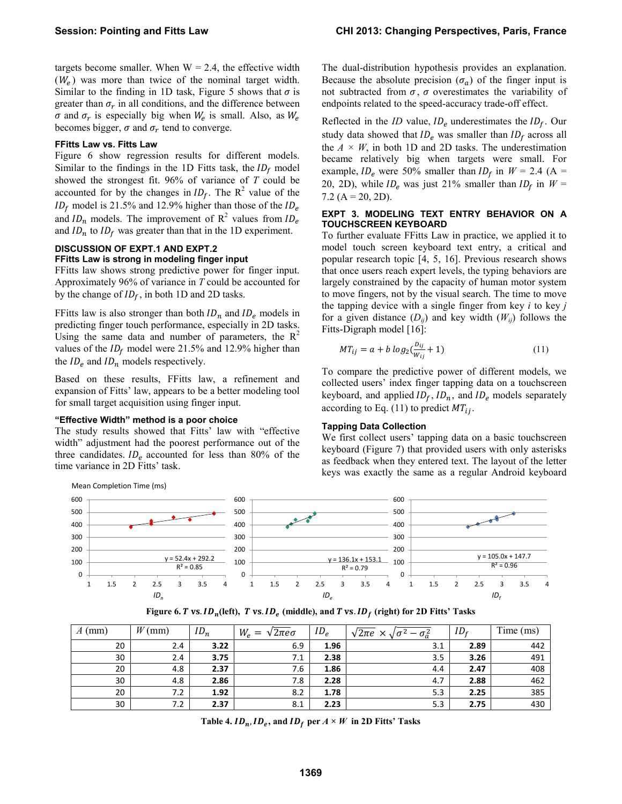targets become smaller. When  $W = 2.4$ , the effective width  $(W_e)$  was more than twice of the nominal target width. Similar to the finding in 1D task, [Figure 5](#page-5-2) shows that  $\sigma$  is greater than  $\sigma_r$  in all conditions, and the difference between  $\sigma$  and  $\sigma_r$  is especially big when  $W_e$  is small. Also, as  $W_e$ becomes bigger,  $\sigma$  and  $\sigma_r$  tend to converge.

### **FFitts Law vs. Fitts Law**

[Figure 6](#page-6-0) show regression results for different models. Similar to the findings in the 1D Fitts task, the  $ID_f$  model showed the strongest fit. 96% of variance of *T* could be accounted for by the changes in  $ID_f$ . The  $R^2$  value of the  $ID_f$  model is 21.5% and 12.9% higher than those of the  $ID_e$ and  $ID_n$  models. The improvement of  $R^2$  values from  $ID_e$ and  $ID_n$  to  $ID_f$  was greater than that in the 1D experiment.

# **DISCUSSION OF EXPT.1 AND EXPT.2 FFitts Law is strong in modeling finger input**

FFitts law shows strong predictive power for finger input. Approximately 96% of variance in *T* could be accounted for by the change of  $ID_f$ , in both 1D and 2D tasks.

FFitts law is also stronger than both  $ID_n$  and  $ID_e$  models in predicting finger touch performance, especially in 2D tasks. Using the same data and number of parameters, the  $R^2$ values of the  $ID<sub>f</sub>$  model were 21.5% and 12.9% higher than the  $ID_e$  and  $ID_n$  models respectively.

Based on these results, FFitts law, a refinement and expansion of Fitts' law, appears to be a better modeling tool for small target acquisition using finger input.

# **"Effective Width" method is a poor choice**

The study results showed that Fitts' law with "effective width" adjustment had the poorest performance out of the three candidates.  $ID_e$  accounted for less than 80% of the time variance in 2D Fitts' task.

The dual-distribution hypothesis provides an explanation. Because the absolute precision  $(\sigma_a)$  of the finger input is not subtracted from  $\sigma$ ,  $\sigma$  overestimates the variability of endpoints related to the speed-accuracy trade-off effect.

Reflected in the *ID* value,  $ID_e$  underestimates the  $ID_f$ . Our study data showed that  $ID_e$  was smaller than  $ID_f$  across all the  $A \times W$ , in both 1D and 2D tasks. The underestimation became relatively big when targets were small. For example,  $ID_e$  were 50% smaller than  $ID_f$  in  $W = 2.4$  (A = 20, 2D), while  $ID_e$  was just 21% smaller than  $ID_f$  in  $W =$  $7.2$  (A = 20, 2D).

### **EXPT 3. MODELING TEXT ENTRY BEHAVIOR ON A TOUCHSCREEN KEYBOARD**

To further evaluate FFitts Law in practice, we applied it to model touch screen keyboard text entry, a critical and popular research topic [\[4,](#page-9-19) [5,](#page-9-3) [16\]](#page-9-4). Previous research shows that once users reach expert levels, the typing behaviors are largely constrained by the capacity of human motor system to move fingers, not by the visual search. The time to move the tapping device with a single finger from key *i* to key *j* for a given distance  $(D_{ij})$  and key width  $(W_{ij})$  follows the Fitts-Digraph model [\[16\]](#page-9-4):

$$
MT_{ij} = a + b \log_2(\frac{D_{ij}}{W_{ij}} + 1)
$$
 (11)

To compare the predictive power of different models, we collected users' index finger tapping data on a touchscreen keyboard, and applied  $ID_f$ ,  $ID_n$ , and  $ID_e$  models separately according to Eq. (11) to predict  $MT_{ii}$ .

# **Tapping Data Collection**

We first collect users' tapping data on a basic touchscreen keyboard (Figure 7) that provided users with only asterisks as feedback when they entered text. The layout of the letter keys was exactly the same as a regular Android keyboard



Figure 6.  $T$  vs.  $ID_n$ (left),  $T$  vs.  $ID_e$  (middle), and  $T$  vs.  $ID_f$  (right) for 2D Fitts' Tasks

<span id="page-6-0"></span>

| $A$ (mm) | $W$ (mm) | $ID_n$ | $W_e = \sqrt{2\pi e \sigma}$ | $ID_e$ | $\sqrt{2\pi}e \times \sqrt{2}$ | ID <sub>f</sub> | Time (ms) |
|----------|----------|--------|------------------------------|--------|--------------------------------|-----------------|-----------|
| 20       | 2.4      | 3.22   | 6.9                          | 1.96   | 3.1                            | 2.89            | 442       |
| 30       | 2.4      | 3.75   | 7.1                          | 2.38   | 3.5                            | 3.26            | 491       |
| 20       | 4.8      | 2.37   | 7.6                          | 1.86   | 4.4                            | 2.47            | 408       |
| 30       | 4.8      | 2.86   | 7.8                          | 2.28   | 4.7                            | 2.88            | 462       |
| 20       | 7.2      | 1.92   | 8.2                          | 1.78   | 5.3                            | 2.25            | 385       |
| 30       | 7.2      | 2.37   | 8.1                          | 2.23   | 5.3                            | 2.75            | 430       |

Table 4.  $ID_n$ ,  $ID_e$ , and  $ID_f$  per  $A \times W$  in 2D Fitts' Tasks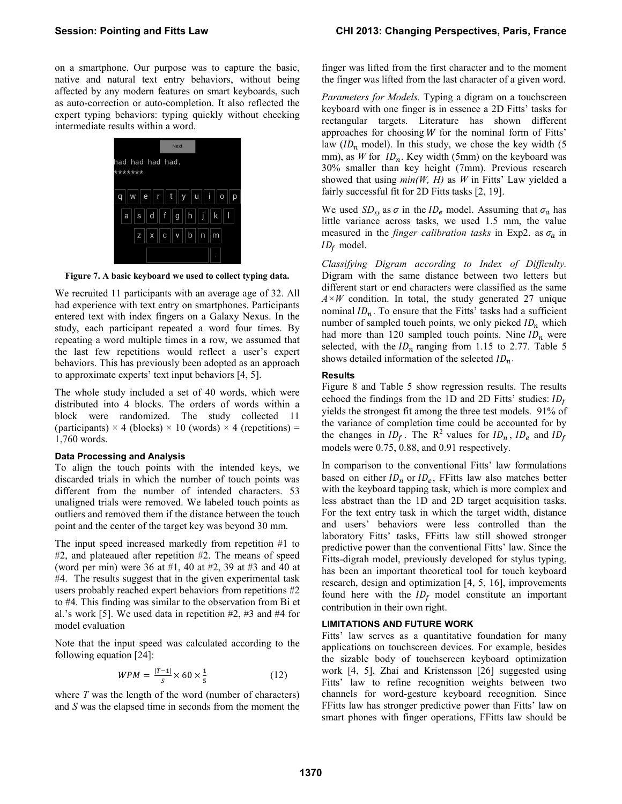on a smartphone. Our purpose was to capture the basic, native and natural text entry behaviors, without being affected by any modern features on smart keyboards, such as auto-correction or auto-completion. It also reflected the expert typing behaviors: typing quickly without checking intermediate results within a word.



**Figure 7. A basic keyboard we used to collect typing data.** 

We recruited 11 participants with an average age of 32. All had experience with text entry on smartphones. Participants entered text with index fingers on a Galaxy Nexus. In the study, each participant repeated a word four times. By repeating a word multiple times in a row, we assumed that the last few repetitions would reflect a user's expert behaviors. This has previously been adopted as an approach to approximate experts' text input behaviors [\[4,](#page-9-19) [5\]](#page-9-3).

The whole study included a set of 40 words, which were distributed into 4 blocks. The orders of words within a block were randomized. The study collected 11 (participants)  $\times$  4 (blocks)  $\times$  10 (words)  $\times$  4 (repetitions) = 1,760 words.

# **Data Processing and Analysis**

To align the touch points with the intended keys, we discarded trials in which the number of touch points was different from the number of intended characters. 53 unaligned trials were removed. We labeled touch points as outliers and removed them if the distance between the touch point and the center of the target key was beyond 30 mm.

The input speed increased markedly from repetition #1 to #2, and plateaued after repetition #2. The means of speed (word per min) were 36 at #1, 40 at #2, 39 at #3 and 40 at #4. The results suggest that in the given experimental task users probably reached expert behaviors from repetitions #2 to #4. This finding was similar to the observation from Bi et al.'s work [\[5\]](#page-9-3). We used data in repetition #2, #3 and #4 for model evaluation

Note that the input speed was calculated according to the following equation [\[24\]](#page-9-20):

$$
WPM = \frac{|T-1|}{s} \times 60 \times \frac{1}{5}
$$
 (12)

where *T* was the length of the word (number of characters) and *S* was the elapsed time in seconds from the moment the finger was lifted from the first character and to the moment the finger was lifted from the last character of a given word.

*Parameters for Models.* Typing a digram on a touchscreen keyboard with one finger is in essence a 2D Fitts' tasks for rectangular targets. Literature has shown different approaches for choosing  $W$  for the nominal form of Fitts' law  $(ID_n \text{ model})$ . In this study, we chose the key width (5) mm), as *W* for  $ID_n$ . Key width (5mm) on the keyboard was 30% smaller than key height (7mm). Previous research showed that using *min(W, H)* as *W* in Fitts' Law yielded a fairly successful fit for 2D Fitts tasks [\[2,](#page-9-21) [19\]](#page-9-22).

We used  $SD_{xy}$  as  $\sigma$  in the  $ID_e$  model. Assuming that  $\sigma_a$  has little variance across tasks, we used 1.5 mm, the value measured in the *finger calibration tasks* in Exp2. as  $\sigma_a$  in  $ID_f$  model.

*Classifying Digram according to Index of Difficulty.*  Digram with the same distance between two letters but different start or end characters were classified as the same *A×W* condition. In total, the study generated 27 unique nominal  $ID_n$ . To ensure that the Fitts' tasks had a sufficient number of sampled touch points, we only picked  $ID_n$  which had more than 120 sampled touch points. Nine  $ID_n$  were selected, with the  $ID_n$  ranging from 1.15 to 2.77. [Table 5](#page-8-0) shows detailed information of the selected  $ID_n$ .

# **Results**

Figure 8 and Table 5 show regression results. The results echoed the findings from the 1D and 2D Fitts' studies:  $ID_f$ yields the strongest fit among the three test models. 91% of the variance of completion time could be accounted for by the changes in  $ID_f$ . The R<sup>2</sup> values for  $ID_n$ ,  $ID_e$  and  $ID_f$ models were 0.75, 0.88, and 0.91 respectively.

In comparison to the conventional Fitts' law formulations based on either  $ID_n$  or  $ID_e$ , FFitts law also matches better with the keyboard tapping task, which is more complex and less abstract than the 1D and 2D target acquisition tasks. For the text entry task in which the target width, distance and users' behaviors were less controlled than the laboratory Fitts' tasks, FFitts law still showed stronger predictive power than the conventional Fitts' law. Since the Fitts-digrah model, previously developed for stylus typing, has been an important theoretical tool for touch keyboard research, design and optimization [\[4,](#page-9-19) [5,](#page-9-3) [16\]](#page-9-4), improvements found here with the  $ID_f$  model constitute an important contribution in their own right.

# **LIMITATIONS AND FUTURE WORK**

Fitts' law serves as a quantitative foundation for many applications on touchscreen devices. For example, besides the sizable body of touchscreen keyboard optimization work [\[4,](#page-9-19) [5\]](#page-9-3), Zhai and Kristensson [\[26\]](#page-9-5) suggested using Fitts' law to refine recognition weights between two channels for word-gesture keyboard recognition. Since FFitts law has stronger predictive power than Fitts' law on smart phones with finger operations, FFitts law should be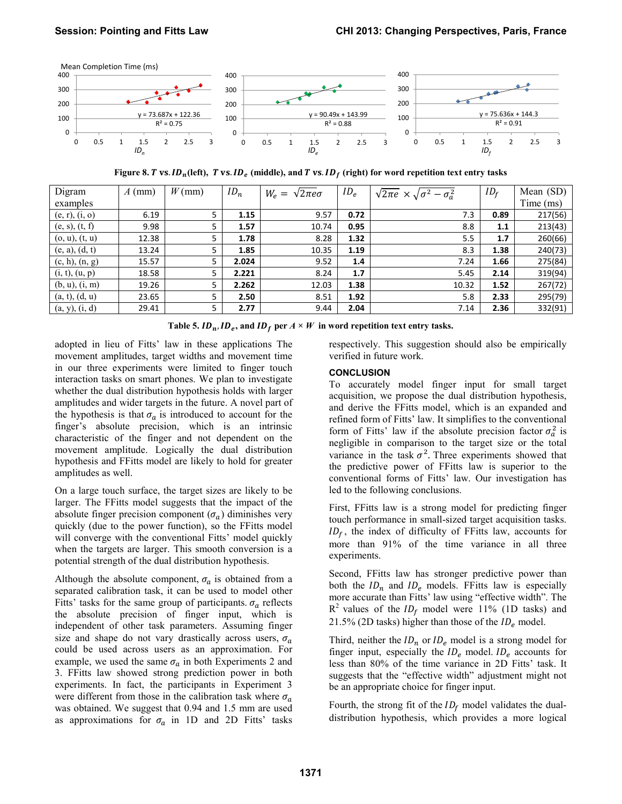

**Figure 8. 7 vs.**  $ID_n(\text{left})$ **, T vs.**  $ID_e$  **(middle), and T vs.**  $ID_f$  **(right) for word repetition text entry tasks** 

| Digram         | $A$ (mm) | $W$ (mm) | $ID_n$ | $W_e = \sqrt{2\pi e}\sigma$ | $ID_e$ | $\sqrt{2\pi e} \times \sqrt{\sigma^2 - \sigma_a^2}$ | $ID_f$ | Mean (SD) |
|----------------|----------|----------|--------|-----------------------------|--------|-----------------------------------------------------|--------|-----------|
| examples       |          |          |        |                             |        |                                                     |        | Time (ms) |
| (e, r), (i, o) | 6.19     | 5        | 1.15   | 9.57                        | 0.72   | 7.3                                                 | 0.89   | 217(56)   |
| (e, s), (t, f) | 9.98     | 5        | 1.57   | 10.74                       | 0.95   | 8.8                                                 | 1.1    | 213(43)   |
| (0, u), (t, u) | 12.38    | 5        | 1.78   | 8.28                        | 1.32   | 5.5                                                 | 1.7    | 260(66)   |
| (e, a), (d, t) | 13.24    |          | 1.85   | 10.35                       | 1.19   | 8.3                                                 | 1.38   | 240(73)   |
| (c, h), (n, g) | 15.57    | 5        | 2.024  | 9.52                        | 1.4    | 7.24                                                | 1.66   | 275(84)   |
| (i, t), (u, p) | 18.58    | 5        | 2.221  | 8.24                        | 1.7    | 5.45                                                | 2.14   | 319(94)   |
| (b, u), (i, m) | 19.26    | 5.       | 2.262  | 12.03                       | 1.38   | 10.32                                               | 1.52   | 267(72)   |
| (a, t), (d, u) | 23.65    | 5        | 2.50   | 8.51                        | 1.92   | 5.8                                                 | 2.33   | 295(79)   |
| (a, y), (i, d) | 29.41    | 5        | 2.77   | 9.44                        | 2.04   | 7.14                                                | 2.36   | 332(91)   |

Table 5.  $ID_n$ ,  $ID_e$ , and  $ID_f$  per  $A \times W$  in word repetition text entry tasks.

<span id="page-8-0"></span>adopted in lieu of Fitts' law in these applications The movement amplitudes, target widths and movement time in our three experiments were limited to finger touch interaction tasks on smart phones. We plan to investigate whether the dual distribution hypothesis holds with larger amplitudes and wider targets in the future. A novel part of the hypothesis is that  $\sigma_a$  is introduced to account for the finger's absolute precision, which is an intrinsic characteristic of the finger and not dependent on the movement amplitude. Logically the dual distribution hypothesis and FFitts model are likely to hold for greater amplitudes as well.

On a large touch surface, the target sizes are likely to be larger. The FFitts model suggests that the impact of the absolute finger precision component  $(\sigma_a)$  diminishes very quickly (due to the power function), so the FFitts model will converge with the conventional Fitts' model quickly when the targets are larger. This smooth conversion is a potential strength of the dual distribution hypothesis.

Although the absolute component,  $\sigma_a$  is obtained from a separated calibration task, it can be used to model other Fitts' tasks for the same group of participants.  $\sigma_a$  reflects the absolute precision of finger input, which is independent of other task parameters. Assuming finger size and shape do not vary drastically across users,  $\sigma_a$ could be used across users as an approximation. For example, we used the same  $\sigma_a$  in both Experiments 2 and 3. FFitts law showed strong prediction power in both experiments. In fact, the participants in Experiment 3 were different from those in the calibration task where  $\sigma_a$ was obtained. We suggest that 0.94 and 1.5 mm are used as approximations for  $\sigma_a$  in 1D and 2D Fitts' tasks

respectively. This suggestion should also be empirically verified in future work.

# **CONCLUSION**

To accurately model finger input for small target acquisition, we propose the dual distribution hypothesis, and derive the FFitts model, which is an expanded and refined form of Fitts' law. It simplifies to the conventional form of Fitts' law if the absolute precision factor  $\sigma_a^2$  is negligible in comparison to the target size or the total variance in the task  $\sigma^2$ . Three experiments showed that the predictive power of FFitts law is superior to the conventional forms of Fitts' law. Our investigation has led to the following conclusions.

First, FFitts law is a strong model for predicting finger touch performance in small-sized target acquisition tasks.  $ID<sub>f</sub>$ , the index of difficulty of FFitts law, accounts for more than 91% of the time variance in all three experiments.

Second, FFitts law has stronger predictive power than both the  $ID_n$  and  $ID_e$  models. FFitts law is especially more accurate than Fitts' law using "effective width". The  $R^2$  values of the  $ID_f$  model were 11% (1D tasks) and 21.5% (2D tasks) higher than those of the  $ID_e$  model.

Third, neither the  $ID_n$  or  $ID_e$  model is a strong model for finger input, especially the  $ID_e$  model.  $ID_e$  accounts for less than 80% of the time variance in 2D Fitts' task. It suggests that the "effective width" adjustment might not be an appropriate choice for finger input.

Fourth, the strong fit of the  $ID<sub>f</sub>$  model validates the dualdistribution hypothesis, which provides a more logical